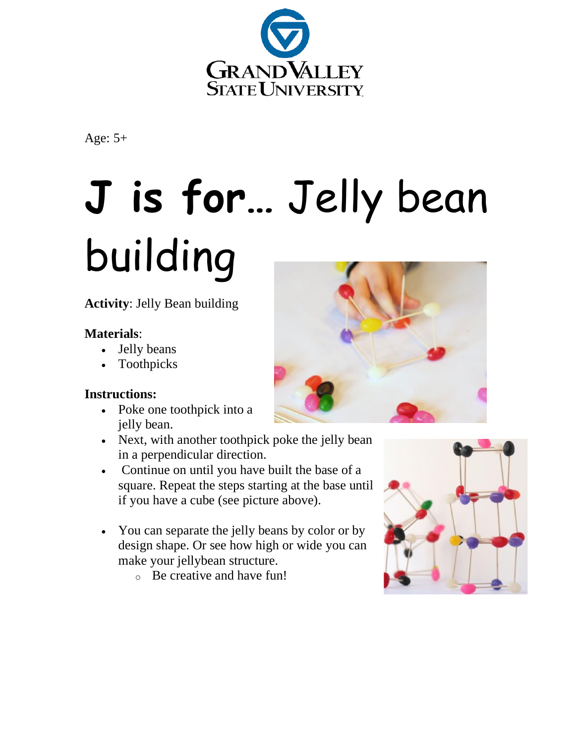

Age: 5+

## **J is for…** Jelly bean building

**Activity**: Jelly Bean building

## **Materials**:

- Jelly beans
- Toothpicks

## **Instructions:**

- Poke one toothpick into a jelly bean.
- Next, with another toothpick poke the jelly bean in a perpendicular direction.
- Continue on until you have built the base of a square. Repeat the steps starting at the base until if you have a cube (see picture above).
- You can separate the jelly beans by color or by design shape. Or see how high or wide you can make your jellybean structure.
	- o Be creative and have fun!